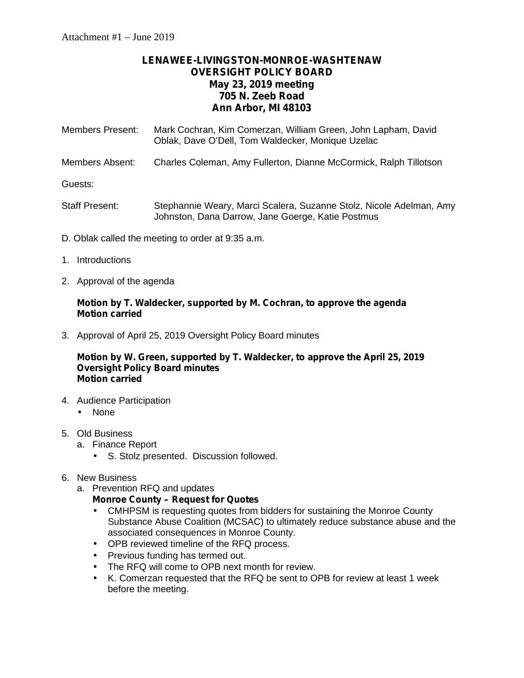# **LENAWEE-LIVINGSTON-MONROE-WASHTENAW OVERSIGHT POLICY BOARD May 23, 2019 meeting 705 N. Zeeb Road Ann Arbor, MI 48103**

| <b>Members Present:</b> | Mark Cochran, Kim Comerzan, William Green, John Lapham, David<br>Oblak, Dave O'Dell, Tom Waldecker, Monique Uzelac       |
|-------------------------|--------------------------------------------------------------------------------------------------------------------------|
| Members Absent:         | Charles Coleman, Amy Fullerton, Dianne McCormick, Ralph Tillotson                                                        |
| Guests:                 |                                                                                                                          |
| Staff Present:          | Stephannie Weary, Marci Scalera, Suzanne Stolz, Nicole Adelman, Amy<br>Johnston, Dana Darrow, Jane Goerge, Katie Postmus |

- D. Oblak called the meeting to order at 9:35 a.m.
- 1. Introductions
- 2. Approval of the agenda

#### **Motion by T. Waldecker, supported by M. Cochran, to approve the agenda Motion carried**

3. Approval of April 25, 2019 Oversight Policy Board minutes

#### **Motion by W. Green, supported by T. Waldecker, to approve the April 25, 2019 Oversight Policy Board minutes Motion carried**

- 4. Audience Participation None
- 5. Old Business
	- a. Finance Report
		- S. Stolz presented. Discussion followed.
- 6. New Business
	- a. Prevention RFQ and updates

#### **Monroe County – Request for Quotes**

- CMHPSM is requesting quotes from bidders for sustaining the Monroe County Substance Abuse Coalition (MCSAC) to ultimately reduce substance abuse and the associated consequences in Monroe County.
- OPB reviewed timeline of the RFQ process.
- $\hat{U}$  Previous funding has termed out.
- $\hat{I}$  The RFQ will come to OPB next month for review.
- K. Comerzan requested that the RFQ be sent to OPB for review at least 1 week before the meeting.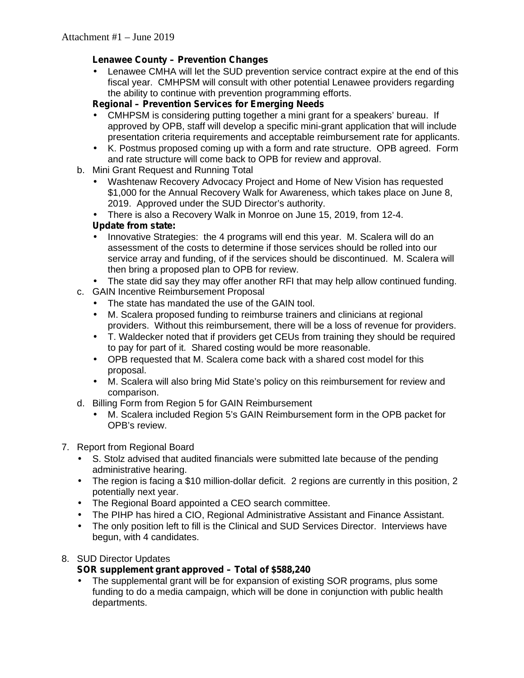## **Lenawee County – Prevention Changes**

 Lenawee CMHA will let the SUD prevention service contract expire at the end of this fiscal year. CMHPSM will consult with other potential Lenawee providers regarding the ability to continue with prevention programming efforts.

#### **Regional – Prevention Services for Emerging Needs**

- CMHPSM is considering putting together a mini grant for a speakers' bureau. If approved by OPB, staff will develop a specific mini-grant application that will include presentation criteria requirements and acceptable reimbursement rate for applicants.
- K. Postmus proposed coming up with a form and rate structure. OPB agreed. Form and rate structure will come back to OPB for review and approval.
- b. Mini Grant Request and Running Total
	- Washtenaw Recovery Advocacy Project and Home of New Vision has requested \$1,000 for the Annual Recovery Walk for Awareness, which takes place on June 8, 2019. Approved under the SUD Director's authority.
	- There is also a Recovery Walk in Monroe on June 15, 2019, from 12-4.

## **Update from state:**

 Innovative Strategies: the 4 programs will end this year. M. Scalera will do an assessment of the costs to determine if those services should be rolled into our service array and funding, of if the services should be discontinued. M. Scalera will then bring a proposed plan to OPB for review.

The state did say they may offer another RFI that may help allow continued funding.

- c. GAIN Incentive Reimbursement Proposal
	- The state has mandated the use of the GAIN tool.
	- M. Scalera proposed funding to reimburse trainers and clinicians at regional providers. Without this reimbursement, there will be a loss of revenue for providers.
	-
	- T. Waldecker noted that if providers get CEUs from training they should be required to pay for part of it. Shared costing would be more reasonable.
	- OPB requested that M. Scalera come back with a shared cost model for this proposal.
	- M. Scalera will also bring Mid State's policy on this reimbursement for review and comparison.
- d. Billing Form from Region 5 for GAIN Reimbursement
	- M. Scalera included Region 5's GAIN Reimbursement form in the OPB packet for OPB's review.

#### 7. Report from Regional Board

- S. Stolz advised that audited financials were submitted late because of the pending administrative hearing.
- The region is facing a \$10 million-dollar deficit. 2 regions are currently in this position, 2 potentially next year.
- The Regional Board appointed a CEO search committee.
- The PIHP has hired a CIO, Regional Administrative Assistant and Finance Assistant.
- The only position left to fill is the Clinical and SUD Services Director. Interviews have begun, with 4 candidates.

#### 8. SUD Director Updates

# **SOR supplement grant approved – Total of \$588,240**

 The supplemental grant will be for expansion of existing SOR programs, plus some funding to do a media campaign, which will be done in conjunction with public health departments.